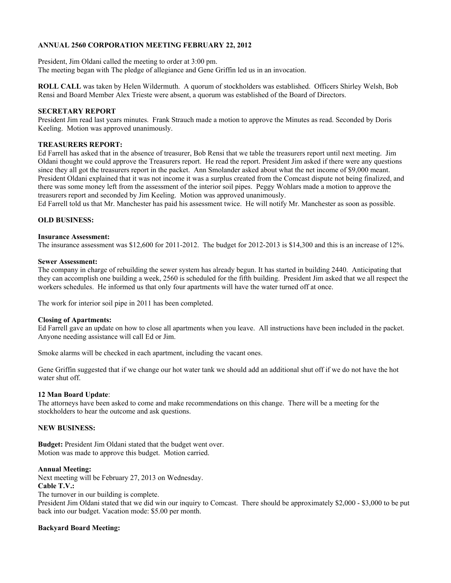# **ANNUAL 2560 CORPORATION MEETING FEBRUARY 22, 2012**

President, Jim Oldani called the meeting to order at 3:00 pm. The meeting began with The pledge of allegiance and Gene Griffin led us in an invocation.

**ROLL CALL** was taken by Helen Wildermuth. A quorum of stockholders was established. Officers Shirley Welsh, Bob Rensi and Board Member Alex Trieste were absent, a quorum was established of the Board of Directors.

# **SECRETARY REPORT**

President Jim read last years minutes. Frank Strauch made a motion to approve the Minutes as read. Seconded by Doris Keeling. Motion was approved unanimously.

# **TREASURERS REPORT:**

Ed Farrell has asked that in the absence of treasurer, Bob Rensi that we table the treasurers report until next meeting. Jim Oldani thought we could approve the Treasurers report. He read the report. President Jim asked if there were any questions since they all got the treasurers report in the packet. Ann Smolander asked about what the net income of \$9,000 meant. President Oldani explained that it was not income it was a surplus created from the Comcast dispute not being finalized, and there was some money left from the assessment of the interior soil pipes. Peggy Wohlars made a motion to approve the treasurers report and seconded by Jim Keeling. Motion was approved unanimously.

Ed Farrell told us that Mr. Manchester has paid his assessment twice. He will notify Mr. Manchester as soon as possible.

# **OLD BUSINESS:**

#### **Insurance Assessment:**

The insurance assessment was \$12,600 for 2011-2012. The budget for 2012-2013 is \$14,300 and this is an increase of 12%.

#### **Sewer Assessment:**

The company in charge of rebuilding the sewer system has already begun. It has started in building 2440. Anticipating that they can accomplish one building a week, 2560 is scheduled for the fifth building. President Jim asked that we all respect the workers schedules. He informed us that only four apartments will have the water turned off at once.

The work for interior soil pipe in 2011 has been completed.

### **Closing of Apartments:**

Ed Farrell gave an update on how to close all apartments when you leave. All instructions have been included in the packet. Anyone needing assistance will call Ed or Jim.

Smoke alarms will be checked in each apartment, including the vacant ones.

Gene Griffin suggested that if we change our hot water tank we should add an additional shut off if we do not have the hot water shut off.

#### **12 Man Board Update**:

The attorneys have been asked to come and make recommendations on this change. There will be a meeting for the stockholders to hear the outcome and ask questions.

#### **NEW BUSINESS:**

**Budget:** President Jim Oldani stated that the budget went over. Motion was made to approve this budget. Motion carried.

#### **Annual Meeting:**

Next meeting will be February 27, 2013 on Wednesday.

# **Cable T.V.:**

The turnover in our building is complete.

President Jim Oldani stated that we did win our inquiry to Comcast. There should be approximately \$2,000 - \$3,000 to be put back into our budget. Vacation mode: \$5.00 per month.

# **Backyard Board Meeting:**